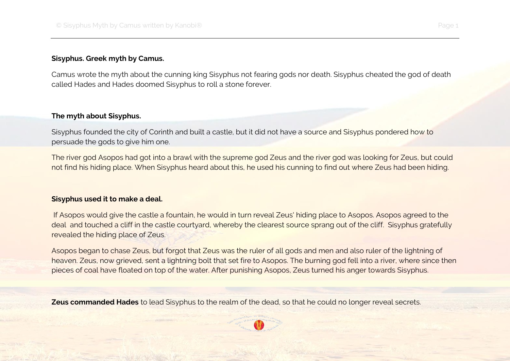## **Sisyphus. Greek myth by Camus.**

Camus wrote the myth about the cunning king Sisyphus not fearing gods nor death. Sisyphus cheated the god of death called Hades and Hades doomed Sisyphus to roll a stone forever.

## **The myth about Sisyphus.**

Sisyphus founded the city of Corinth and built a castle, but it did not have a source and Sisyphus pondered how to persuade the gods to give him one.

The river god Asopos had got into a brawl with the supreme god Zeus and the river god was looking for Zeus, but could not find his hiding place. When Sisyphus heard about this, he used his cunning to find out where Zeus had been hiding.

## **Sisyphus used it to make a deal.**

If Asopos would give the castle a fountain, he would in turn reveal Zeus' hiding place to Asopos. Asopos agreed to the deal and touched a cliff in the castle courtyard, whereby the clearest source sprang out of the cliff. Sisyphus gratefully revealed the hiding place of Zeus.

Asopos began to chase Zeus, but forgot that Zeus was the ruler of all gods and men and also ruler of the lightning of heaven. Zeus, now grieved, sent a lightning bolt that set fire to Asopos. The burning god fell into a river, where since then pieces of coal have floated on top of the water. After punishing Asopos, Zeus turned his anger towards Sisyphus.

**Zeus commanded Hades** to lead Sisyphus to the realm of the dead, so that he could no longer reveal secrets.